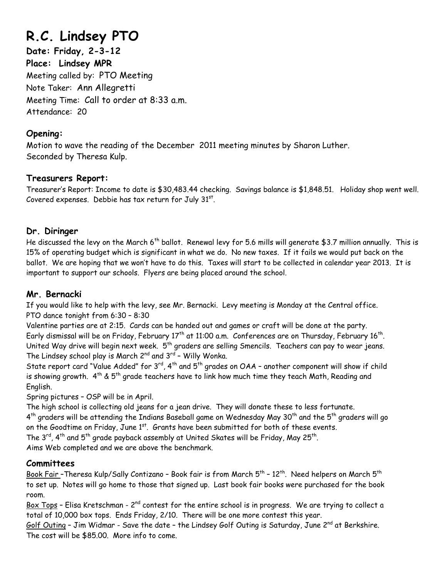# **R.C. Lindsey PTO**

**Date: Friday, 2-3-12 Place: Lindsey MPR**  Meeting called by: PTO Meeting Note Taker: Ann Allegretti Meeting Time: Call to order at 8:33 a.m. Attendance: 20

#### **Opening:**

Motion to wave the reading of the December 2011 meeting minutes by Sharon Luther. Seconded by Theresa Kulp.

### **Treasurers Report:**

Treasurer's Report: Income to date is \$30,483.44 checking. Savings balance is \$1,848.51. Holiday shop went well. Covered expenses. Debbie has tax return for July  $31<sup>st</sup>$ .

### **Dr. Diringer**

He discussed the levy on the March 6<sup>th</sup> ballot. Renewal levy for 5.6 mills will generate \$3.7 million annually. This is 15% of operating budget which is significant in what we do. No new taxes. If it fails we would put back on the ballot. We are hoping that we won't have to do this. Taxes will start to be collected in calendar year 2013. It is important to support our schools. Flyers are being placed around the school.

# **Mr. Bernacki**

If you would like to help with the levy, see Mr. Bernacki. Levy meeting is Monday at the Central office. PTO dance tonight from 6:30 – 8:30

Valentine parties are at 2:15. Cards can be handed out and games or craft will be done at the party. Early dismissal will be on Friday, February 17<sup>th</sup> at 11:00 a.m. Conferences are on Thursday, February 16<sup>th</sup>. United Way drive will begin next week.  $5<sup>th</sup>$  graders are selling Smencils. Teachers can pay to wear jeans. The Lindsey school play is March 2<sup>nd</sup> and 3<sup>rd</sup> - Willy Wonka.

State report card "Value Added" for  $3^{rd}$ ,  $4^{th}$  and  $5^{th}$  grades on OAA - another component will show if child is showing growth.  $4^{th}$  &  $5^{th}$  grade teachers have to link how much time they teach Math, Reading and English.

Spring pictures – OSP will be in April.

The high school is collecting old jeans for a jean drive. They will donate these to less fortunate.  $4^{th}$  graders will be attending the Indians Baseball game on Wednesday May 30<sup>th</sup> and the 5<sup>th</sup> graders will go on the Goodtime on Friday, June  $1^{st}$ . Grants have been submitted for both of these events.

The 3<sup>rd</sup>, 4<sup>th</sup> and 5<sup>th</sup> grade payback assembly at United Skates will be Friday, May 25<sup>th</sup>.

Aims Web completed and we are above the benchmark.

# **Committees**

Book Fair –Theresa Kulp/Sally Contizano – Book fair is from March  $5^{th}$  – 12<sup>th</sup>. Need helpers on March  $5^{th}$ to set up. Notes will go home to those that signed up. Last book fair books were purchased for the book room.

Box Tops - Elisa Kretschman - 2<sup>nd</sup> contest for the entire school is in progress. We are trying to collect a total of 10,000 box tops. Ends Friday, 2/10. There will be one more contest this year.

Golf Outing - Jim Widmar - Save the date - the Lindsey Golf Outing is Saturday, June 2<sup>nd</sup> at Berkshire. The cost will be \$85.00. More info to come.